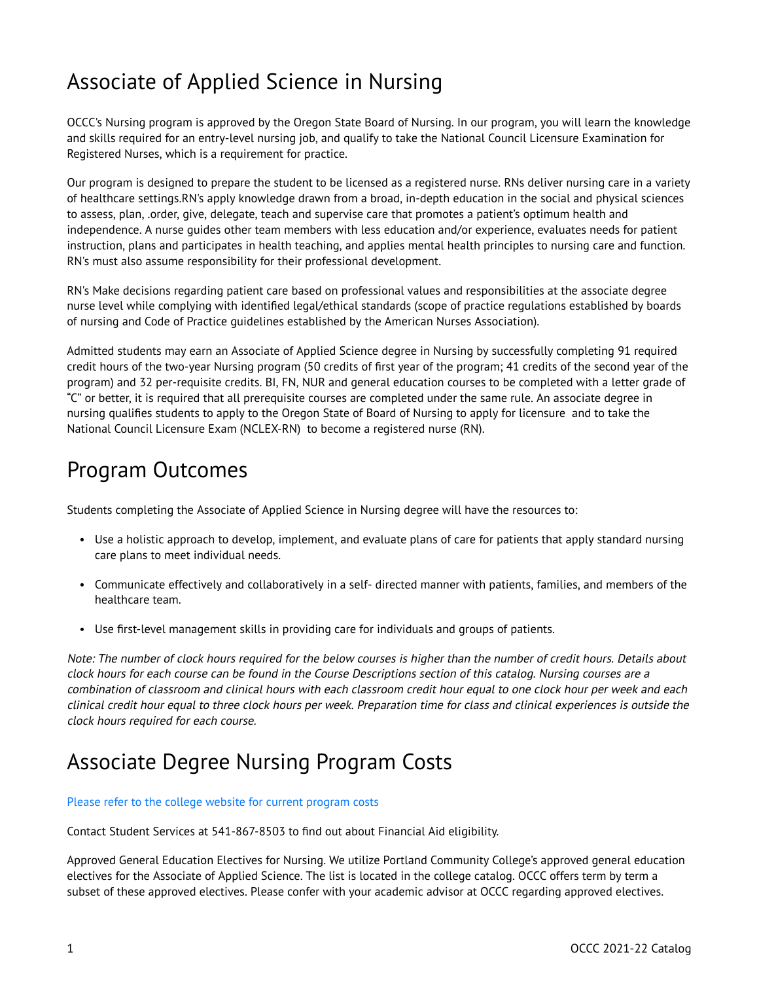## Associate of Applied Science in Nursing

OCCC's Nursing program is approved by the Oregon State Board of Nursing. In our program, you will learn the knowledge and skills required for an entry-level nursing job, and qualify to take the National Council Licensure Examination for Registered Nurses, which is a requirement for practice.

Our program is designed to prepare the student to be licensed as a registered nurse. RNs deliver nursing care in a variety of healthcare settings.RN's apply knowledge drawn from a broad, in-depth education in the social and physical sciences to assess, plan, .order, give, delegate, teach and supervise care that promotes a patient's optimum health and independence. A nurse guides other team members with less education and/or experience, evaluates needs for patient instruction, plans and participates in health teaching, and applies mental health principles to nursing care and function. RN's must also assume responsibility for their professional development.

RN's Make decisions regarding patient care based on professional values and responsibilities at the associate degree nurse level while complying with identified legal/ethical standards (scope of practice regulations established by boards of nursing and Code of Practice guidelines established by the American Nurses Association).

Admitted students may earn an Associate of Applied Science degree in Nursing by successfully completing 91 required credit hours of the two-year Nursing program (50 credits of first year of the program; 41 credits of the second year of the program) and 32 per-requisite credits. BI, FN, NUR and general education courses to be completed with a letter grade of "C" or better, it is required that all prerequisite courses are completed under the same rule. An associate degree in nursing qualifies students to apply to the Oregon State of Board of Nursing to apply for licensure and to take the National Council Licensure Exam (NCLEX-RN) to become a registered nurse (RN).

#### Program Outcomes

Students completing the Associate of Applied Science in Nursing degree will have the resources to:

- Use a holistic approach to develop, implement, and evaluate plans of care for patients that apply standard nursing care plans to meet individual needs.
- Communicate effectively and collaboratively in a self- directed manner with patients, families, and members of the healthcare team.
- Use first-level management skills in providing care for individuals and groups of patients.

Note: The number of clock hours required for the below courses is higher than the number of credit hours. Details about clock hours for each course can be found in the Course Descriptions section of this catalog. Nursing courses are a combination of classroom and clinical hours with each classroom credit hour equal to one clock hour per week and each clinical credit hour equal to three clock hours per week. Preparation time for class and clinical experiences is outside the clock hours required for each course.

#### Associate Degree Nursing Program Costs

#### [Please refer to the college website for current program costs](http://www.oregoncoastcc.org/portfolio/associate-of-applied-science/)

Contact Student Services at 541-867-8503 to find out about Financial Aid eligibility.

Approved General Education Electives for Nursing. We utilize Portland Community College's approved general education electives for the Associate of Applied Science. The list is located in the college catalog. OCCC offers term by term a subset of these approved electives. Please confer with your academic advisor at OCCC regarding approved electives.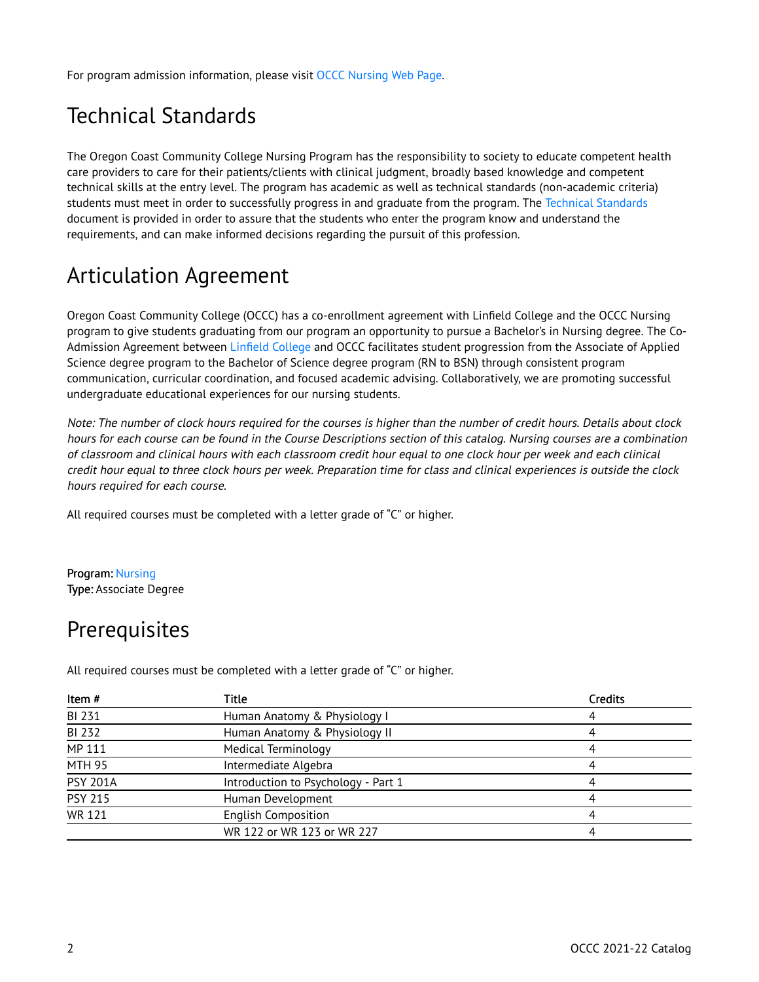For program admission information, please visit [OCCC Nursing Web Page.](http://www.oregoncoastcc.org/portfolio/associate-of-applied-science/)

## Technical Standards

The Oregon Coast Community College Nursing Program has the responsibility to society to educate competent health care providers to care for their patients/clients with clinical judgment, broadly based knowledge and competent technical skills at the entry level. The program has academic as well as technical standards (non-academic criteria) students must meet in order to successfully progress in and graduate from the program. The Technical Standards document is provided in order to assure that the students who enter the program know and understand the requirements, and can make informed decisions regarding the pursuit of this profession.

### Articulation Agreement

Oregon Coast Community College (OCCC) has a co-enrollment agreement with Linfield College and the OCCC Nursing program to give students graduating from our program an opportunity to pursue a Bachelor's in Nursing degree. The Co-Admission Agreement between [Linfield College](https://www.linfield.edu/dce/rn-to-bsn.html) and OCCC facilitates student progression from the Associate of Applied Science degree program to the Bachelor of Science degree program (RN to BSN) through consistent program communication, curricular coordination, and focused academic advising. Collaboratively, we are promoting successful undergraduate educational experiences for our nursing students.

Note: The number of clock hours required for the courses is higher than the number of credit hours. Details about clock hours for each course can be found in the Course Descriptions section of this catalog. Nursing courses are a combination of classroom and clinical hours with each classroom credit hour equal to one clock hour per week and each clinical credit hour equal to three clock hours per week. Preparation time for class and clinical experiences is outside the clock hours required for each course.

All required courses must be completed with a letter grade of "C" or higher.

#### Program: [Nursing](http://catalog.oregoncoastcc.org/nursing)  Type: Associate Degree

#### **Prerequisites**

All required courses must be completed with a letter grade of "C" or higher.

| Title                               | Credits |
|-------------------------------------|---------|
| Human Anatomy & Physiology I        |         |
| Human Anatomy & Physiology II       |         |
| <b>Medical Terminology</b>          |         |
| Intermediate Algebra                |         |
| Introduction to Psychology - Part 1 |         |
| Human Development                   |         |
| <b>English Composition</b>          |         |
| WR 122 or WR 123 or WR 227          |         |
|                                     |         |